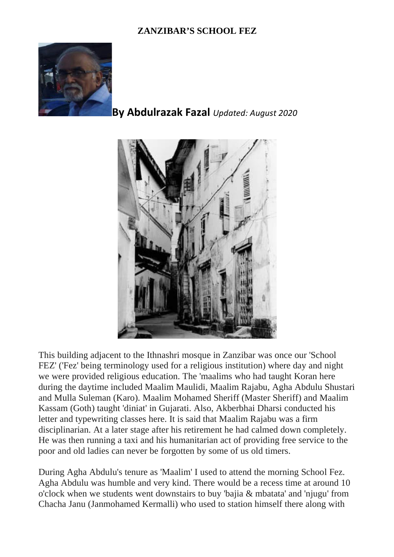## **ZANZIBAR'S SCHOOL FEZ**



## **By Abdulrazak Fazal** *Updated: August 2020*



This building adjacent to the Ithnashri mosque in Zanzibar was once our 'School FEZ' ('Fez' being terminology used for a religious institution) where day and night we were provided religious education. The 'maalims who had taught Koran here during the daytime included Maalim Maulidi, Maalim Rajabu, Agha Abdulu Shustari and Mulla Suleman (Karo). Maalim Mohamed Sheriff (Master Sheriff) and Maalim Kassam (Goth) taught 'diniat' in Gujarati. Also, Akberbhai Dharsi conducted his letter and typewriting classes here. It is said that Maalim Rajabu was a firm disciplinarian. At a later stage after his retirement he had calmed down completely. He was then running a taxi and his humanitarian act of providing free service to the poor and old ladies can never be forgotten by some of us old timers.

During Agha Abdulu's tenure as 'Maalim' I used to attend the morning School Fez. Agha Abdulu was humble and very kind. There would be a recess time at around 10 o'clock when we students went downstairs to buy 'bajia & mbatata' and 'njugu' from Chacha Janu (Janmohamed Kermalli) who used to station himself there along with